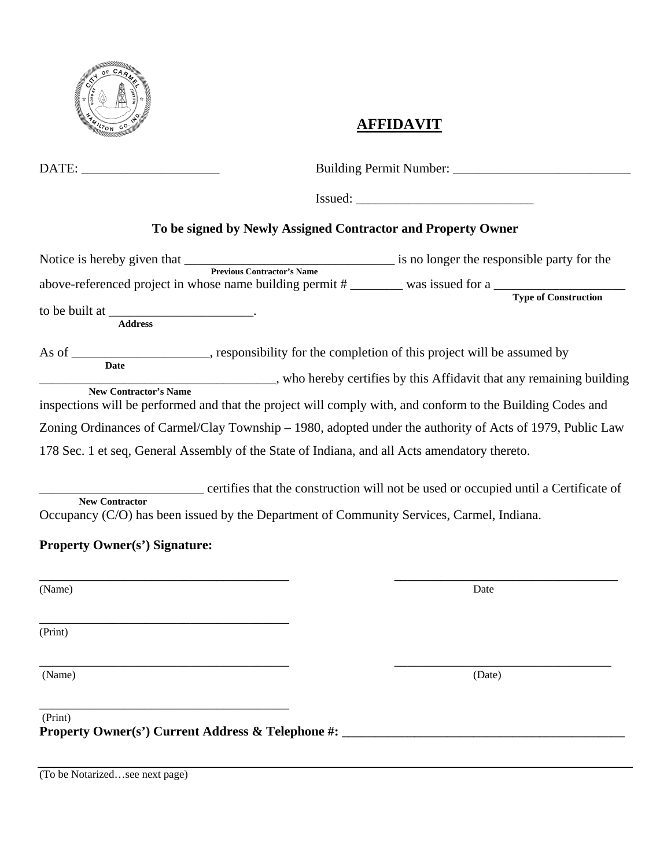

## **AFFIDAVIT**

| DATE: ________________________                                                                                                                                                                                      |                                                              |                                                                                                                                                                                                                              |
|---------------------------------------------------------------------------------------------------------------------------------------------------------------------------------------------------------------------|--------------------------------------------------------------|------------------------------------------------------------------------------------------------------------------------------------------------------------------------------------------------------------------------------|
|                                                                                                                                                                                                                     |                                                              |                                                                                                                                                                                                                              |
|                                                                                                                                                                                                                     | To be signed by Newly Assigned Contractor and Property Owner |                                                                                                                                                                                                                              |
| to be built at $\frac{1}{1}$<br><b>Address</b>                                                                                                                                                                      |                                                              | Notice is hereby given that <u>revious Contractor's Name</u> is no longer the responsible party for the<br>above-referenced project in whose name building permit # ________ was issued for a _________ Type of Construction |
|                                                                                                                                                                                                                     |                                                              | As of ______________________, responsibility for the completion of this project will be assumed by<br>New Contractor's Name ___________, who hereby certifies by this Affidavit that any remaining building                  |
|                                                                                                                                                                                                                     |                                                              | inspections will be performed and that the project will comply with, and conform to the Building Codes and                                                                                                                   |
|                                                                                                                                                                                                                     |                                                              | Zoning Ordinances of Carmel/Clay Township - 1980, adopted under the authority of Acts of 1979, Public Law                                                                                                                    |
| 178 Sec. 1 et seq, General Assembly of the State of Indiana, and all Acts amendatory thereto.<br><b>New Contractor</b><br>Occupancy (C/O) has been issued by the Department of Community Services, Carmel, Indiana. |                                                              | certifies that the construction will not be used or occupied until a Certificate of                                                                                                                                          |
| <b>Property Owner(s') Signature:</b>                                                                                                                                                                                |                                                              |                                                                                                                                                                                                                              |
| (Name)                                                                                                                                                                                                              |                                                              | Date                                                                                                                                                                                                                         |
| (Print)                                                                                                                                                                                                             |                                                              |                                                                                                                                                                                                                              |
| (Name)                                                                                                                                                                                                              |                                                              | (Date)                                                                                                                                                                                                                       |
| (Print)<br>Property Owner(s') Current Address & Telephone #: ______________________________                                                                                                                         |                                                              |                                                                                                                                                                                                                              |